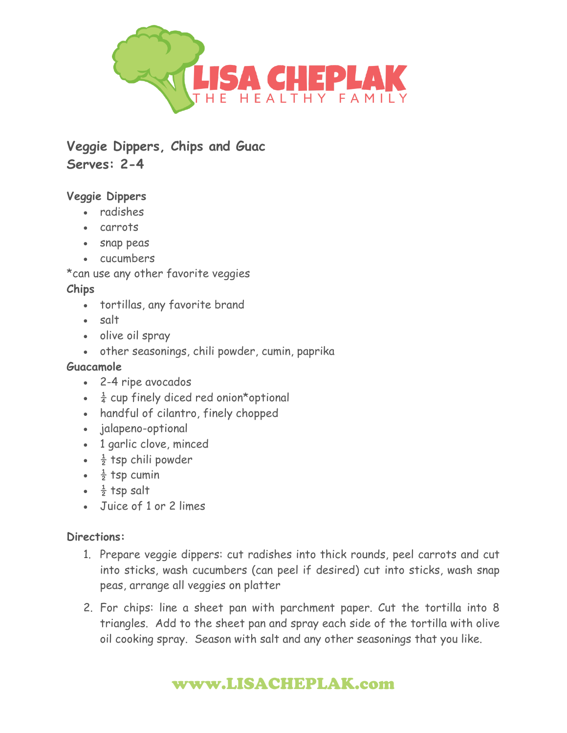

**Veggie Dippers, Chips and Guac Serves: 2-4**

## **Veggie Dippers**

- radishes
- carrots
- snap peas
- cucumbers
- \*can use any other favorite veggies

### **Chips**

- tortillas, any favorite brand
- salt
- olive oil spray
- other seasonings, chili powder, cumin, paprika

#### **Guacamole**

- 2-4 ripe avocados
- $\cdot$   $\frac{1}{4}$  cup finely diced red onion\*optional
- handful of cilantro, finely chopped
- jalapeno-optional
- 1 garlic clove, minced
- $\frac{1}{2}$  tsp chili powder
- $\cdot$   $\frac{1}{2}$  tsp cumin
- $\frac{1}{2}$  tsp salt
- Juice of 1 or 2 limes

#### **Directions:**

- 1. Prepare veggie dippers: cut radishes into thick rounds, peel carrots and cut into sticks, wash cucumbers (can peel if desired) cut into sticks, wash snap peas, arrange all veggies on platter
- 2. For chips: line a sheet pan with parchment paper. Cut the tortilla into 8 triangles. Add to the sheet pan and spray each side of the tortilla with olive oil cooking spray. Season with salt and any other seasonings that you like.

# www.LISACHEPLAK.com